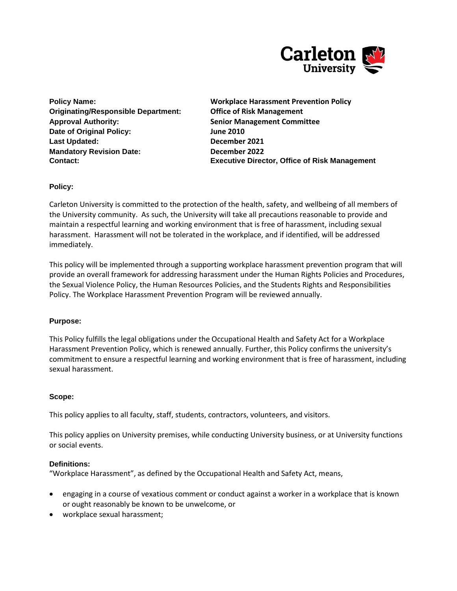

**Originating/Responsible Department: Office of Risk Management Approval Authority: Senior Management Committee Date of Original Policy: June 2010 Last Updated: December 2021 Mandatory Revision Date: December 2022** 

**Policy Name: Workplace Harassment Prevention Policy Contact: Executive Director, Office of Risk Management**

**Policy:**

Carleton University is committed to the protection of the health, safety, and wellbeing of all members of the University community. As such, the University will take all precautions reasonable to provide and maintain a respectful learning and working environment that is free of harassment, including sexual harassment. Harassment will not be tolerated in the workplace, and if identified, will be addressed immediately.

This policy will be implemented through a supporting workplace harassment prevention program that will provide an overall framework for addressing harassment under the Human Rights Policies and Procedures, the Sexual Violence Policy, the Human Resources Policies, and the Students Rights and Responsibilities Policy. The Workplace Harassment Prevention Program will be reviewed annually.

## **Purpose:**

This Policy fulfills the legal obligations under the Occupational Health and Safety Act for a Workplace Harassment Prevention Policy, which is renewed annually. Further, this Policy confirms the university's commitment to ensure a respectful learning and working environment that is free of harassment, including sexual harassment.

## **Scope:**

This policy applies to all faculty, staff, students, contractors, volunteers, and visitors.

This policy applies on University premises, while conducting University business, or at University functions or social events.

## **Definitions:**

"Workplace Harassment", as defined by the Occupational Health and Safety Act, means,

- engaging in a course of vexatious comment or conduct against a worker in a workplace that is known or ought reasonably be known to be unwelcome, or
- workplace sexual harassment;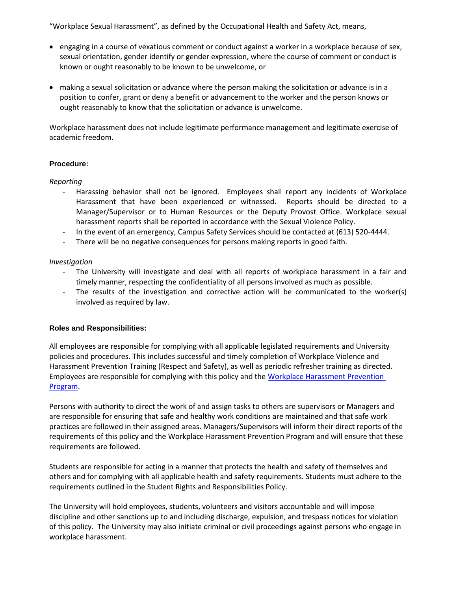"Workplace Sexual Harassment", as defined by the Occupational Health and Safety Act, means,

- engaging in a course of vexatious comment or conduct against a worker in a workplace because of sex, sexual orientation, gender identify or gender expression, where the course of comment or conduct is known or ought reasonably to be known to be unwelcome, or
- making a sexual solicitation or advance where the person making the solicitation or advance is in a position to confer, grant or deny a benefit or advancement to the worker and the person knows or ought reasonably to know that the solicitation or advance is unwelcome.

Workplace harassment does not include legitimate performance management and legitimate exercise of academic freedom.

### **Procedure:**

#### *Reporting*

- Harassing behavior shall not be ignored. Employees shall report any incidents of Workplace Harassment that have been experienced or witnessed. Reports should be directed to a Manager/Supervisor or to Human Resources or the Deputy Provost Office. Workplace sexual harassment reports shall be reported in accordance with the Sexual Violence Policy.
- In the event of an emergency, Campus Safety Services should be contacted at (613) 520-4444.
- There will be no negative consequences for persons making reports in good faith.

### *Investigation*

- The University will investigate and deal with all reports of workplace harassment in a fair and timely manner, respecting the confidentiality of all persons involved as much as possible.
- The results of the investigation and corrective action will be communicated to the worker(s) involved as required by law.

## **Roles and Responsibilities:**

All employees are responsible for complying with all applicable legislated requirements and University policies and procedures. This includes successful and timely completion of Workplace Violence and Harassment Prevention Training (Respect and Safety), as well as periodic refresher training as directed. Employees are responsible for complying with this policy and th[e Workplace Harassment Prevention](http://carleton.ca/ehs/wp-content/uploads/Harassment-Prevention-Program_January2013.pdf)  [Program.](http://carleton.ca/ehs/wp-content/uploads/Harassment-Prevention-Program_January2013.pdf)

Persons with authority to direct the work of and assign tasks to others are supervisors or Managers and are responsible for ensuring that safe and healthy work conditions are maintained and that safe work practices are followed in their assigned areas. Managers/Supervisors will inform their direct reports of the requirements of this policy and the Workplace Harassment Prevention Program and will ensure that these requirements are followed.

Students are responsible for acting in a manner that protects the health and safety of themselves and others and for complying with all applicable health and safety requirements. Students must adhere to the requirements outlined in the Student Rights and Responsibilities Policy.

The University will hold employees, students, volunteers and visitors accountable and will impose discipline and other sanctions up to and including discharge, expulsion, and trespass notices for violation of this policy. The University may also initiate criminal or civil proceedings against persons who engage in workplace harassment.